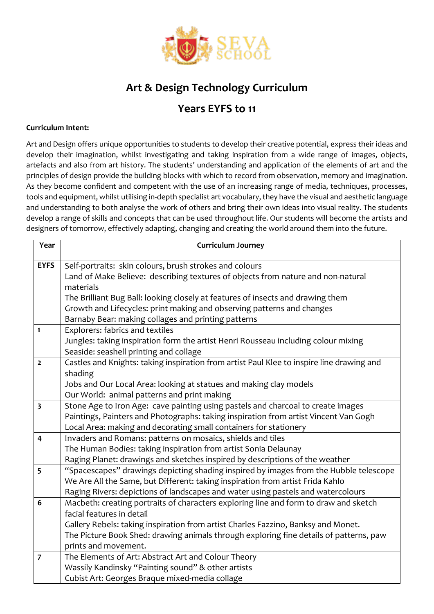

## **Art & Design Technology Curriculum**

## **Years EYFS to 11**

## **Curriculum Intent:**

Art and Design offers unique opportunities to students to develop their creative potential, express their ideas and develop their imagination, whilst investigating and taking inspiration from a wide range of images, objects, artefacts and also from art history. The students' understanding and application of the elements of art and the principles of design provide the building blocks with which to record from observation, memory and imagination. As they become confident and competent with the use of an increasing range of media, techniques, processes, tools and equipment, whilst utilising in-depth specialist art vocabulary, they have the visual and aesthetic language and understanding to both analyse the work of others and bring their own ideas into visual reality. The students develop a range of skills and concepts that can be used throughout life. Our students will become the artists and designers of tomorrow, effectively adapting, changing and creating the world around them into the future.

| Year                    | <b>Curriculum Journey</b>                                                                                                           |
|-------------------------|-------------------------------------------------------------------------------------------------------------------------------------|
| <b>EYFS</b>             | Self-portraits: skin colours, brush strokes and colours                                                                             |
|                         | Land of Make Believe: describing textures of objects from nature and non-natural                                                    |
|                         | materials                                                                                                                           |
|                         | The Brilliant Bug Ball: looking closely at features of insects and drawing them                                                     |
|                         | Growth and Lifecycles: print making and observing patterns and changes                                                              |
|                         | Barnaby Bear: making collages and printing patterns                                                                                 |
| $\mathbf{1}$            | Explorers: fabrics and textiles                                                                                                     |
|                         | Jungles: taking inspiration form the artist Henri Rousseau including colour mixing                                                  |
| $\overline{2}$          | Seaside: seashell printing and collage<br>Castles and Knights: taking inspiration from artist Paul Klee to inspire line drawing and |
|                         | shading                                                                                                                             |
|                         | Jobs and Our Local Area: looking at statues and making clay models                                                                  |
|                         | Our World: animal patterns and print making                                                                                         |
| $\overline{\mathbf{3}}$ | Stone Age to Iron Age: cave painting using pastels and charcoal to create images                                                    |
|                         | Paintings, Painters and Photographs: taking inspiration from artist Vincent Van Gogh                                                |
|                         | Local Area: making and decorating small containers for stationery                                                                   |
| $\overline{\mathbf{4}}$ | Invaders and Romans: patterns on mosaics, shields and tiles                                                                         |
|                         | The Human Bodies: taking inspiration from artist Sonia Delaunay                                                                     |
|                         | Raging Planet: drawings and sketches inspired by descriptions of the weather                                                        |
| 5                       | "Spacescapes" drawings depicting shading inspired by images from the Hubble telescope                                               |
|                         | We Are All the Same, but Different: taking inspiration from artist Frida Kahlo                                                      |
|                         | Raging Rivers: depictions of landscapes and water using pastels and watercolours                                                    |
| 6                       | Macbeth: creating portraits of characters exploring line and form to draw and sketch                                                |
|                         | facial features in detail                                                                                                           |
|                         | Gallery Rebels: taking inspiration from artist Charles Fazzino, Banksy and Monet.                                                   |
|                         | The Picture Book Shed: drawing animals through exploring fine details of patterns, paw                                              |
|                         | prints and movement.                                                                                                                |
| $\overline{7}$          | The Elements of Art: Abstract Art and Colour Theory                                                                                 |
|                         | Wassily Kandinsky "Painting sound" & other artists                                                                                  |
|                         | Cubist Art: Georges Braque mixed-media collage                                                                                      |